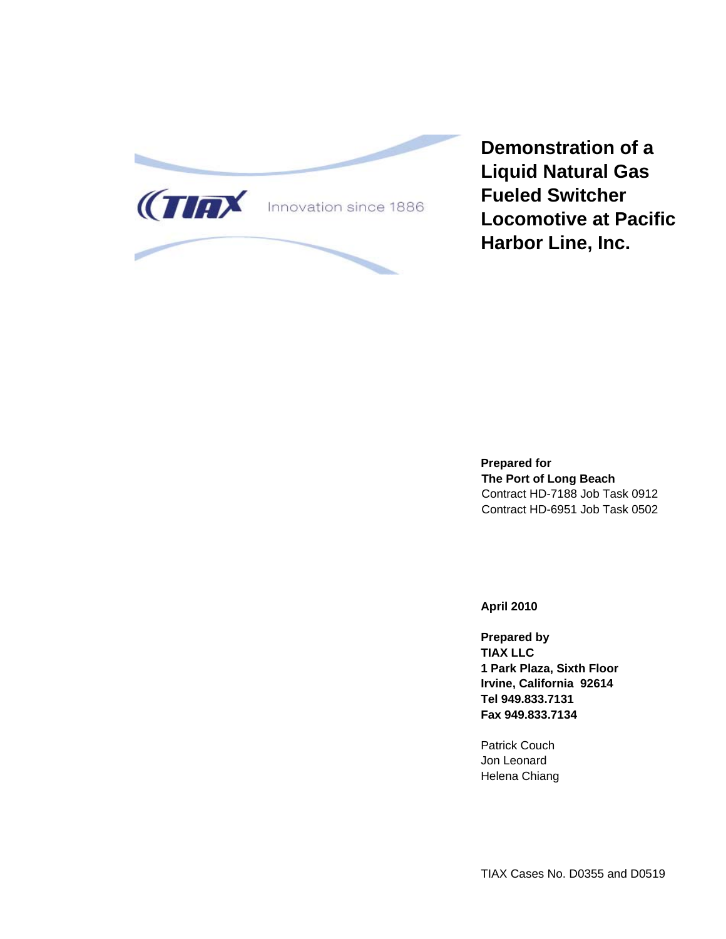

**Demonstration of a Liquid Natural Gas Fueled Switcher Locomotive at Pacific Harbor Line, Inc.** 

**Prepared for The Port of Long Beach**  Contract HD-7188 Job Task 0912 Contract HD-6951 Job Task 0502

**April 2010** 

**Prepared by TIAX LLC 1 Park Plaza, Sixth Floor Irvine, California 92614 Tel 949.833.7131 Fax 949.833.7134** 

Patrick Couch Jon Leonard Helena Chiang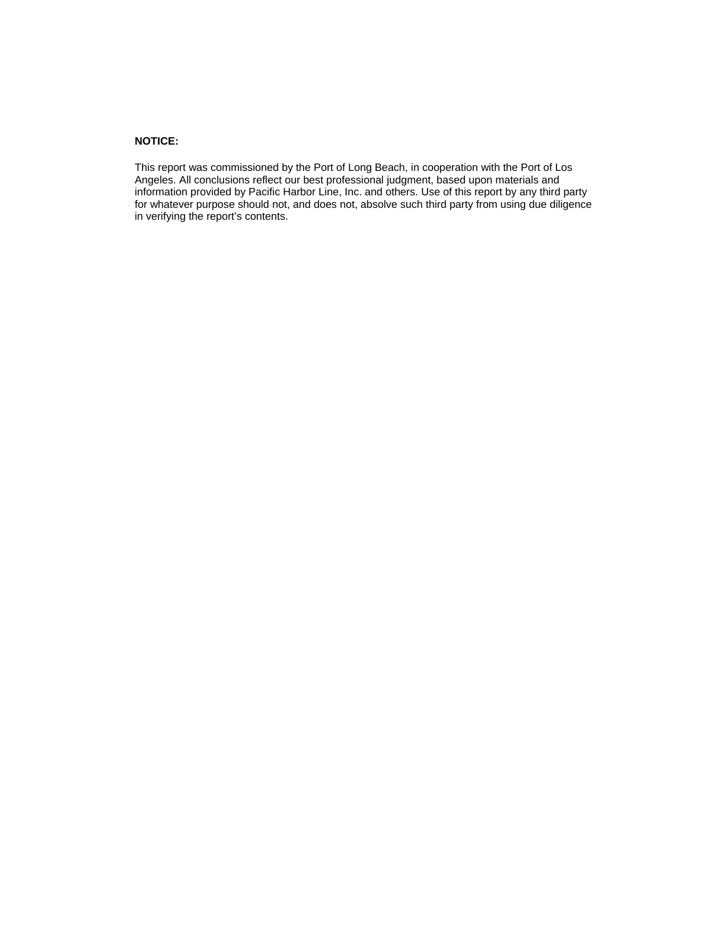#### **NOTICE:**

This report was commissioned by the Port of Long Beach, in cooperation with the Port of Los Angeles. All conclusions reflect our best professional judgment, based upon materials and information provided by Pacific Harbor Line, Inc. and others. Use of this report by any third party for whatever purpose should not, and does not, absolve such third party from using due diligence in verifying the report's contents.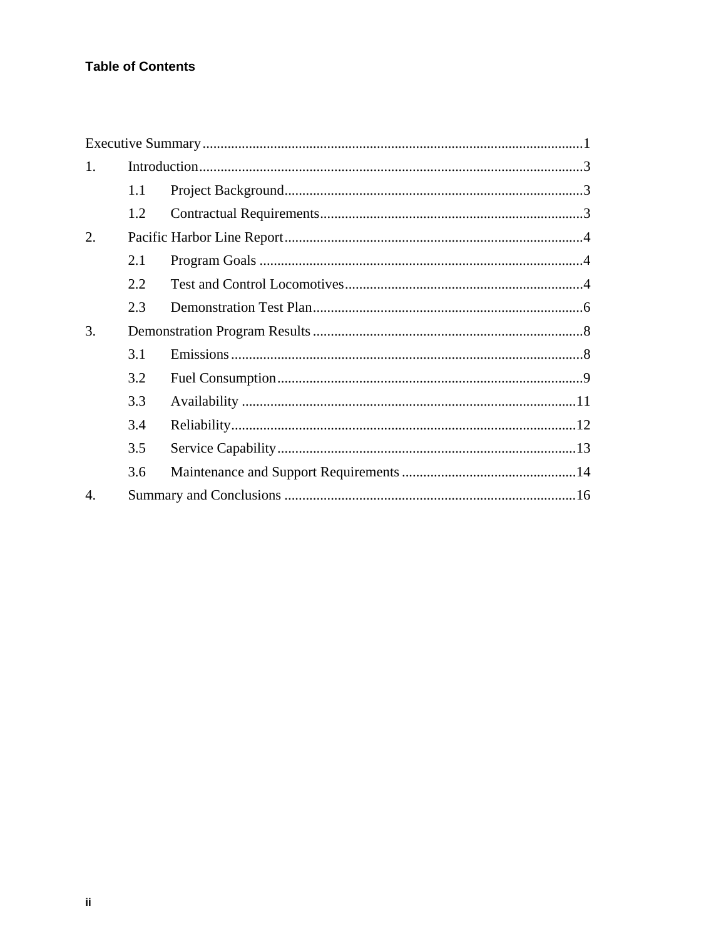## **Table of Contents**

| 1.               |     |  |
|------------------|-----|--|
|                  | 1.1 |  |
|                  | 1.2 |  |
| 2.               |     |  |
|                  | 2.1 |  |
|                  | 2.2 |  |
|                  | 2.3 |  |
| 3.               |     |  |
|                  | 3.1 |  |
|                  | 3.2 |  |
|                  | 3.3 |  |
|                  | 3.4 |  |
|                  | 3.5 |  |
|                  | 3.6 |  |
| $\overline{4}$ . |     |  |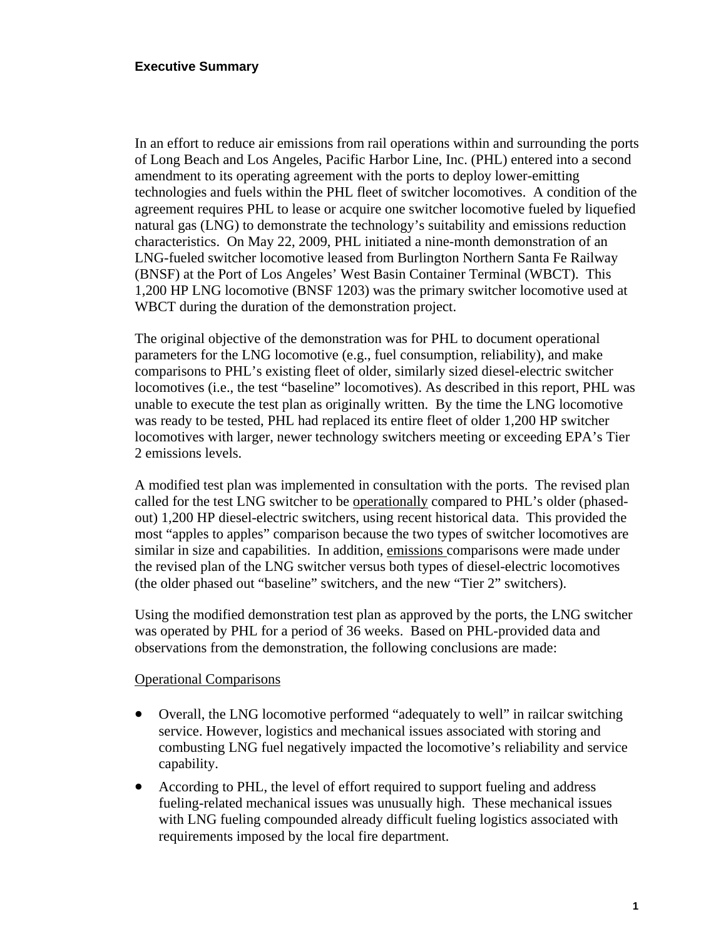In an effort to reduce air emissions from rail operations within and surrounding the ports of Long Beach and Los Angeles, Pacific Harbor Line, Inc. (PHL) entered into a second amendment to its operating agreement with the ports to deploy lower-emitting technologies and fuels within the PHL fleet of switcher locomotives. A condition of the agreement requires PHL to lease or acquire one switcher locomotive fueled by liquefied natural gas (LNG) to demonstrate the technology's suitability and emissions reduction characteristics. On May 22, 2009, PHL initiated a nine-month demonstration of an LNG-fueled switcher locomotive leased from Burlington Northern Santa Fe Railway (BNSF) at the Port of Los Angeles' West Basin Container Terminal (WBCT). This 1,200 HP LNG locomotive (BNSF 1203) was the primary switcher locomotive used at WBCT during the duration of the demonstration project.

The original objective of the demonstration was for PHL to document operational parameters for the LNG locomotive (e.g., fuel consumption, reliability), and make comparisons to PHL's existing fleet of older, similarly sized diesel-electric switcher locomotives (i.e., the test "baseline" locomotives). As described in this report, PHL was unable to execute the test plan as originally written. By the time the LNG locomotive was ready to be tested, PHL had replaced its entire fleet of older 1,200 HP switcher locomotives with larger, newer technology switchers meeting or exceeding EPA's Tier 2 emissions levels.

A modified test plan was implemented in consultation with the ports. The revised plan called for the test LNG switcher to be operationally compared to PHL's older (phasedout) 1,200 HP diesel-electric switchers, using recent historical data. This provided the most "apples to apples" comparison because the two types of switcher locomotives are similar in size and capabilities. In addition, emissions comparisons were made under the revised plan of the LNG switcher versus both types of diesel-electric locomotives (the older phased out "baseline" switchers, and the new "Tier 2" switchers).

Using the modified demonstration test plan as approved by the ports, the LNG switcher was operated by PHL for a period of 36 weeks. Based on PHL-provided data and observations from the demonstration, the following conclusions are made:

#### Operational Comparisons

- Overall, the LNG locomotive performed "adequately to well" in railcar switching service. However, logistics and mechanical issues associated with storing and combusting LNG fuel negatively impacted the locomotive's reliability and service capability.
- According to PHL, the level of effort required to support fueling and address fueling-related mechanical issues was unusually high. These mechanical issues with LNG fueling compounded already difficult fueling logistics associated with requirements imposed by the local fire department.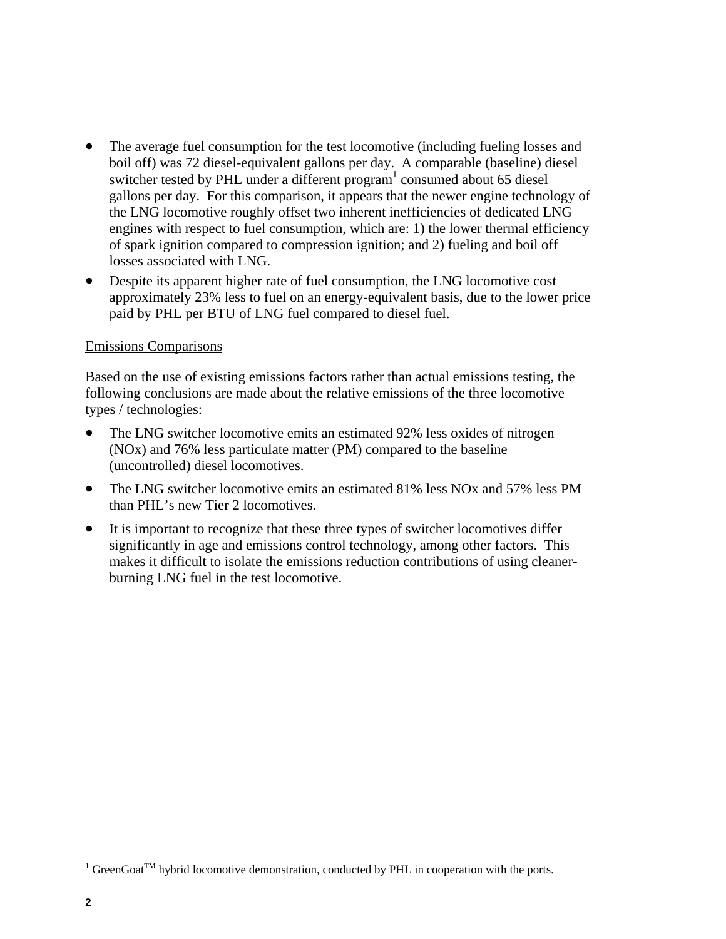- The average fuel consumption for the test locomotive (including fueling losses and boil off) was 72 diesel-equivalent gallons per day. A comparable (baseline) diesel switcher tested by PHL under a different program<sup>1</sup> consumed about 65 diesel gallons per day. For this comparison, it appears that the newer engine technology of the LNG locomotive roughly offset two inherent inefficiencies of dedicated LNG engines with respect to fuel consumption, which are: 1) the lower thermal efficiency of spark ignition compared to compression ignition; and 2) fueling and boil off losses associated with LNG.
- Despite its apparent higher rate of fuel consumption, the LNG locomotive cost approximately 23% less to fuel on an energy-equivalent basis, due to the lower price paid by PHL per BTU of LNG fuel compared to diesel fuel.

#### Emissions Comparisons

Based on the use of existing emissions factors rather than actual emissions testing, the following conclusions are made about the relative emissions of the three locomotive types / technologies:

- The LNG switcher locomotive emits an estimated 92% less oxides of nitrogen (NOx) and 76% less particulate matter (PM) compared to the baseline (uncontrolled) diesel locomotives.
- The LNG switcher locomotive emits an estimated 81% less NO<sub>x</sub> and 57% less PM than PHL's new Tier 2 locomotives.
- It is important to recognize that these three types of switcher locomotives differ significantly in age and emissions control technology, among other factors. This makes it difficult to isolate the emissions reduction contributions of using cleanerburning LNG fuel in the test locomotive.

<sup>&</sup>lt;sup>1</sup> GreenGoat<sup>TM</sup> hybrid locomotive demonstration, conducted by PHL in cooperation with the ports.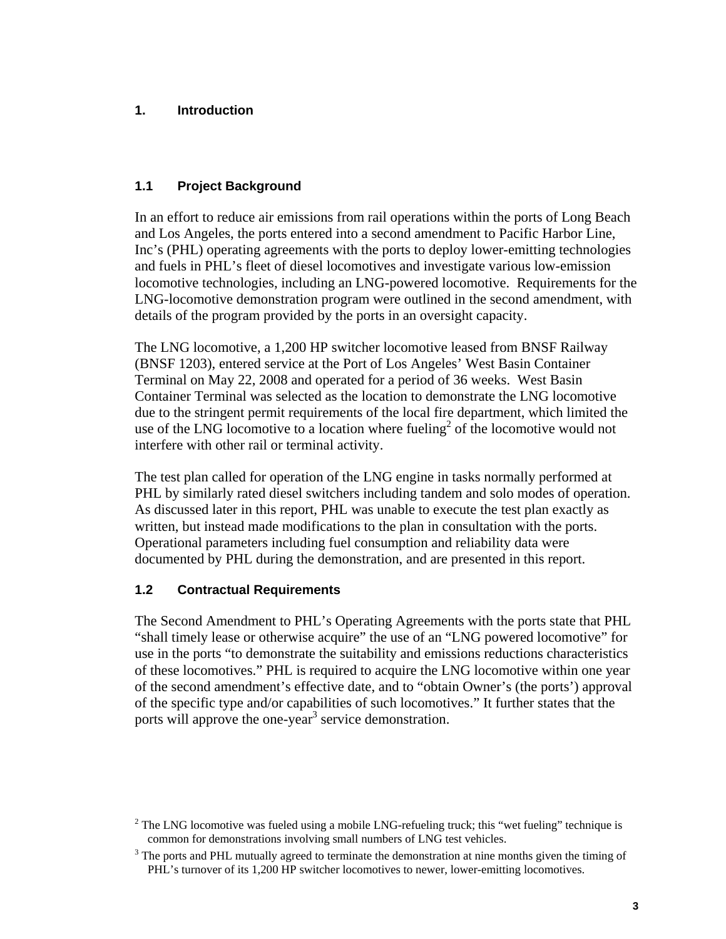## **1. Introduction**

## **1.1 Project Background**

In an effort to reduce air emissions from rail operations within the ports of Long Beach and Los Angeles, the ports entered into a second amendment to Pacific Harbor Line, Inc's (PHL) operating agreements with the ports to deploy lower-emitting technologies and fuels in PHL's fleet of diesel locomotives and investigate various low-emission locomotive technologies, including an LNG-powered locomotive. Requirements for the LNG-locomotive demonstration program were outlined in the second amendment, with details of the program provided by the ports in an oversight capacity.

The LNG locomotive, a 1,200 HP switcher locomotive leased from BNSF Railway (BNSF 1203), entered service at the Port of Los Angeles' West Basin Container Terminal on May 22, 2008 and operated for a period of 36 weeks. West Basin Container Terminal was selected as the location to demonstrate the LNG locomotive due to the stringent permit requirements of the local fire department, which limited the use of the LNG locomotive to a location where fueling<sup>2</sup> of the locomotive would not interfere with other rail or terminal activity.

The test plan called for operation of the LNG engine in tasks normally performed at PHL by similarly rated diesel switchers including tandem and solo modes of operation. As discussed later in this report, PHL was unable to execute the test plan exactly as written, but instead made modifications to the plan in consultation with the ports. Operational parameters including fuel consumption and reliability data were documented by PHL during the demonstration, and are presented in this report.

## **1.2 Contractual Requirements**

The Second Amendment to PHL's Operating Agreements with the ports state that PHL "shall timely lease or otherwise acquire" the use of an "LNG powered locomotive" for use in the ports "to demonstrate the suitability and emissions reductions characteristics of these locomotives." PHL is required to acquire the LNG locomotive within one year of the second amendment's effective date, and to "obtain Owner's (the ports') approval of the specific type and/or capabilities of such locomotives." It further states that the ports will approve the one-year<sup>3</sup> service demonstration.

<sup>&</sup>lt;sup>2</sup> The LNG locomotive was fueled using a mobile LNG-refueling truck; this "wet fueling" technique is common for demonstrations involving small numbers of LNG test vehicles.

 $3$  The ports and PHL mutually agreed to terminate the demonstration at nine months given the timing of PHL's turnover of its 1,200 HP switcher locomotives to newer, lower-emitting locomotives.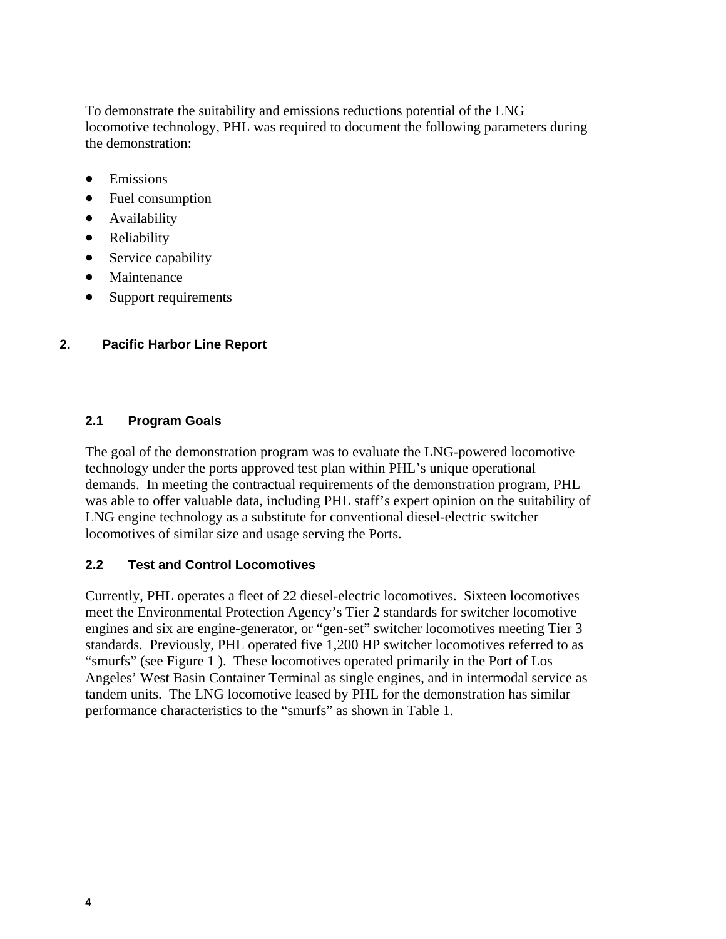To demonstrate the suitability and emissions reductions potential of the LNG locomotive technology, PHL was required to document the following parameters during the demonstration:

- Emissions
- Fuel consumption
- Availability
- Reliability
- Service capability
- Maintenance
- Support requirements

### **2. Pacific Harbor Line Report**

#### **2.1 Program Goals**

The goal of the demonstration program was to evaluate the LNG-powered locomotive technology under the ports approved test plan within PHL's unique operational demands. In meeting the contractual requirements of the demonstration program, PHL was able to offer valuable data, including PHL staff's expert opinion on the suitability of LNG engine technology as a substitute for conventional diesel-electric switcher locomotives of similar size and usage serving the Ports.

#### **2.2 Test and Control Locomotives**

Currently, PHL operates a fleet of 22 diesel-electric locomotives. Sixteen locomotives meet the Environmental Protection Agency's Tier 2 standards for switcher locomotive engines and six are engine-generator, or "gen-set" switcher locomotives meeting Tier 3 standards. Previously, PHL operated five 1,200 HP switcher locomotives referred to as "smurfs" (see Figure 1 ). These locomotives operated primarily in the Port of Los Angeles' West Basin Container Terminal as single engines, and in intermodal service as tandem units. The LNG locomotive leased by PHL for the demonstration has similar performance characteristics to the "smurfs" as shown in Table 1.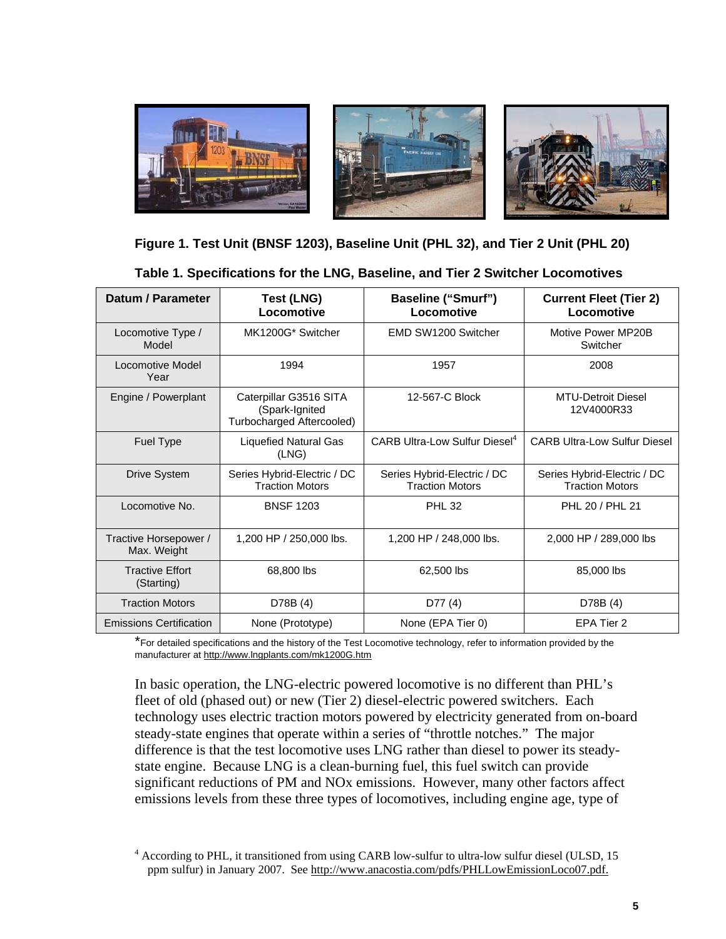

### **Figure 1. Test Unit (BNSF 1203), Baseline Unit (PHL 32), and Tier 2 Unit (PHL 20)**

**Table 1. Specifications for the LNG, Baseline, and Tier 2 Switcher Locomotives** 

| Datum / Parameter                    | <b>Test (LNG)</b><br>Locomotive                                       | <b>Baseline ("Smurf")</b><br>Locomotive               | <b>Current Fleet (Tier 2)</b><br>Locomotive           |
|--------------------------------------|-----------------------------------------------------------------------|-------------------------------------------------------|-------------------------------------------------------|
| Locomotive Type /<br>Model           | MK1200G* Switcher                                                     | EMD SW1200 Switcher                                   | Motive Power MP20B<br>Switcher                        |
| Locomotive Model<br>Year             | 1994                                                                  | 1957                                                  | 2008                                                  |
| Engine / Powerplant                  | Caterpillar G3516 SITA<br>(Spark-Ignited<br>Turbocharged Aftercooled) | 12-567-C Block                                        | <b>MTU-Detroit Diesel</b><br>12V4000R33               |
| <b>Fuel Type</b>                     | <b>Liquefied Natural Gas</b><br>(LNG)                                 | <b>CARB Ultra-Low Sulfur Diesel</b> <sup>4</sup>      | <b>CARB Ultra-Low Sulfur Diesel</b>                   |
| <b>Drive System</b>                  | Series Hybrid-Electric / DC<br><b>Traction Motors</b>                 | Series Hybrid-Electric / DC<br><b>Traction Motors</b> | Series Hybrid-Electric / DC<br><b>Traction Motors</b> |
| Locomotive No.                       | <b>BNSF 1203</b>                                                      | <b>PHL 32</b>                                         | PHL 20 / PHL 21                                       |
| Tractive Horsepower /<br>Max. Weight | 1,200 HP / 250,000 lbs.                                               | 1,200 HP / 248,000 lbs.                               | 2,000 HP / 289,000 lbs                                |
| <b>Tractive Effort</b><br>(Starting) | 68,800 lbs                                                            | 62,500 lbs                                            | 85,000 lbs                                            |
| <b>Traction Motors</b>               | D78B (4)                                                              | D77(4)                                                | D78B (4)                                              |
| <b>Emissions Certification</b>       | None (Prototype)                                                      | None (EPA Tier 0)                                     | EPA Tier 2                                            |

\*For detailed specifications and the history of the Test Locomotive technology, refer to information provided by the manufacturer at http://www.lngplants.com/mk1200G.htm

In basic operation, the LNG-electric powered locomotive is no different than PHL's fleet of old (phased out) or new (Tier 2) diesel-electric powered switchers. Each technology uses electric traction motors powered by electricity generated from on-board steady-state engines that operate within a series of "throttle notches." The major difference is that the test locomotive uses LNG rather than diesel to power its steadystate engine. Because LNG is a clean-burning fuel, this fuel switch can provide significant reductions of PM and NOx emissions. However, many other factors affect emissions levels from these three types of locomotives, including engine age, type of

<sup>&</sup>lt;sup>4</sup> According to PHL, it transitioned from using CARB low-sulfur to ultra-low sulfur diesel (ULSD, 15 ppm sulfur) in January 2007. See http://www.anacostia.com/pdfs/PHLLowEmissionLoco07.pdf.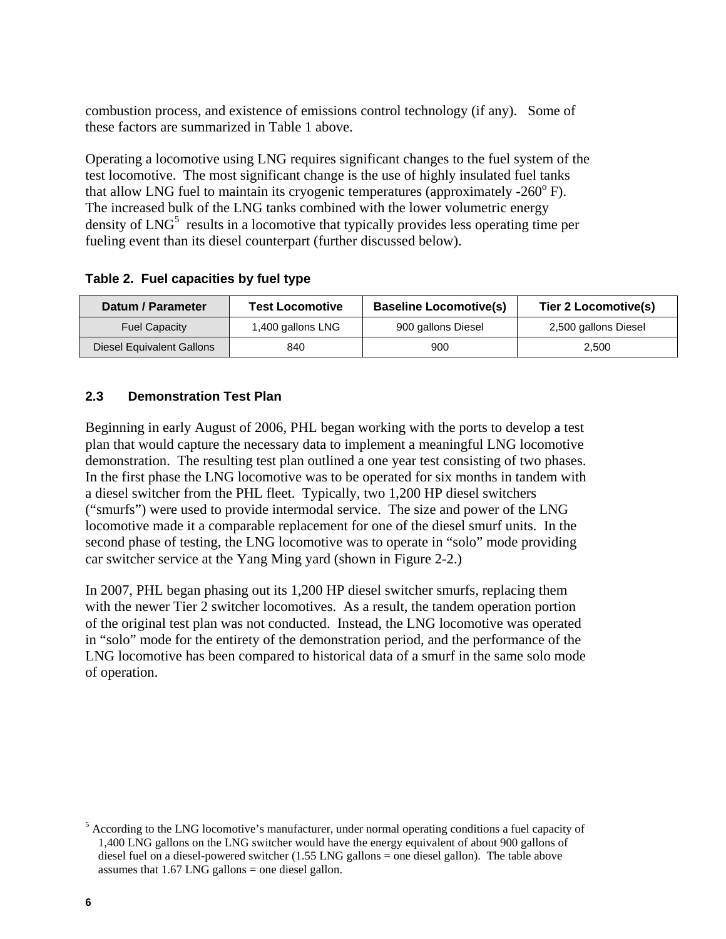combustion process, and existence of emissions control technology (if any). Some of these factors are summarized in Table 1 above.

Operating a locomotive using LNG requires significant changes to the fuel system of the test locomotive. The most significant change is the use of highly insulated fuel tanks that allow LNG fuel to maintain its cryogenic temperatures (approximately -260 $^{\circ}$  F). The increased bulk of the LNG tanks combined with the lower volumetric energy density of  $LNG<sup>5</sup>$  results in a locomotive that typically provides less operating time per fueling event than its diesel counterpart (further discussed below).

**Table 2. Fuel capacities by fuel type** 

| Datum / Parameter         | <b>Test Locomotive</b> | <b>Baseline Locomotive(s)</b> | Tier 2 Locomotive(s) |
|---------------------------|------------------------|-------------------------------|----------------------|
| <b>Fuel Capacity</b>      | 1,400 gallons LNG      | 900 gallons Diesel            | 2,500 gallons Diesel |
| Diesel Equivalent Gallons | 840                    | 900                           | 2.500                |

### **2.3 Demonstration Test Plan**

Beginning in early August of 2006, PHL began working with the ports to develop a test plan that would capture the necessary data to implement a meaningful LNG locomotive demonstration. The resulting test plan outlined a one year test consisting of two phases. In the first phase the LNG locomotive was to be operated for six months in tandem with a diesel switcher from the PHL fleet. Typically, two 1,200 HP diesel switchers ("smurfs") were used to provide intermodal service. The size and power of the LNG locomotive made it a comparable replacement for one of the diesel smurf units. In the second phase of testing, the LNG locomotive was to operate in "solo" mode providing car switcher service at the Yang Ming yard (shown in Figure 2-2.)

In 2007, PHL began phasing out its 1,200 HP diesel switcher smurfs, replacing them with the newer Tier 2 switcher locomotives. As a result, the tandem operation portion of the original test plan was not conducted. Instead, the LNG locomotive was operated in "solo" mode for the entirety of the demonstration period, and the performance of the LNG locomotive has been compared to historical data of a smurf in the same solo mode of operation.

<sup>&</sup>lt;sup>5</sup> According to the LNG locomotive's manufacturer, under normal operating conditions a fuel capacity of 1,400 LNG gallons on the LNG switcher would have the energy equivalent of about 900 gallons of diesel fuel on a diesel-powered switcher (1.55 LNG gallons = one diesel gallon). The table above assumes that  $1.67$  LNG gallons = one diesel gallon.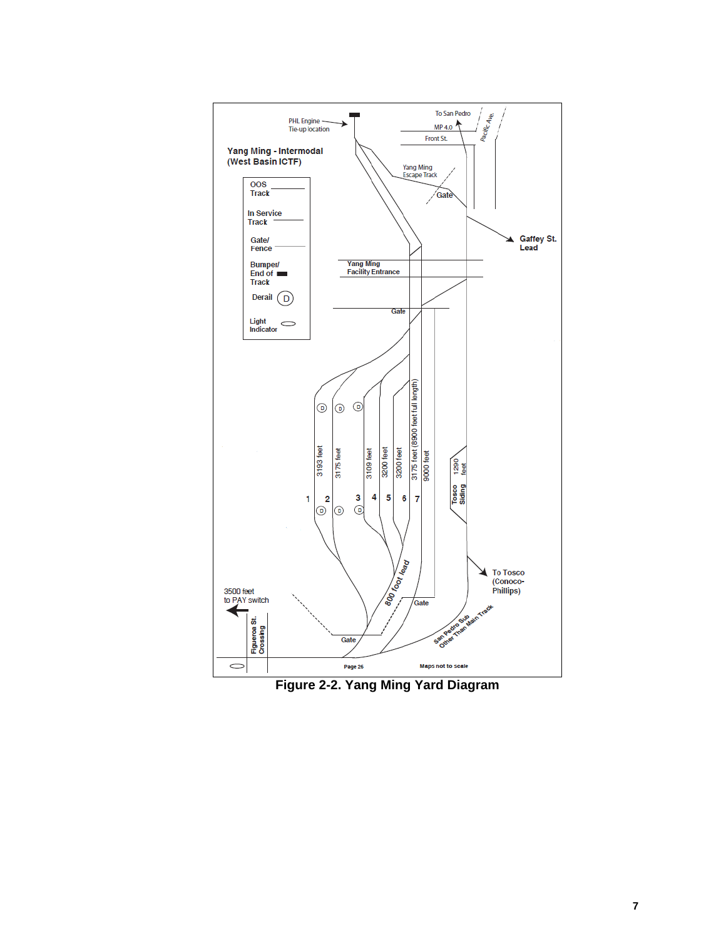

**Figure 2-2. Yang Ming Yard Diagram**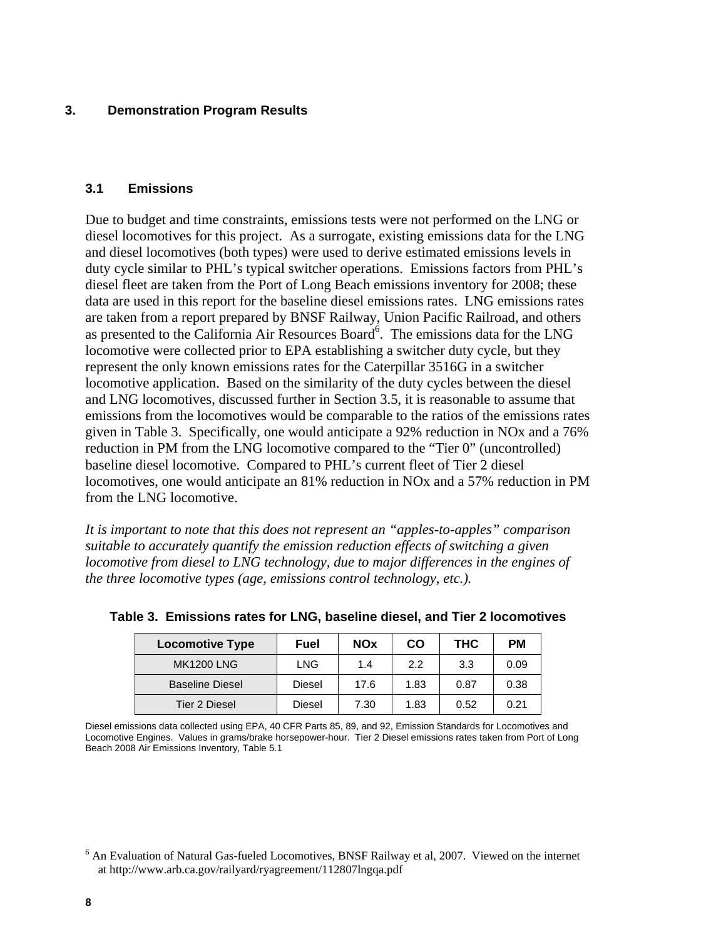#### **3. Demonstration Program Results**

#### **3.1 Emissions**

Due to budget and time constraints, emissions tests were not performed on the LNG or diesel locomotives for this project. As a surrogate, existing emissions data for the LNG and diesel locomotives (both types) were used to derive estimated emissions levels in duty cycle similar to PHL's typical switcher operations. Emissions factors from PHL's diesel fleet are taken from the Port of Long Beach emissions inventory for 2008; these data are used in this report for the baseline diesel emissions rates. LNG emissions rates are taken from a report prepared by BNSF Railway, Union Pacific Railroad, and others as presented to the California Air Resources Board<sup>6</sup>. The emissions data for the LNG locomotive were collected prior to EPA establishing a switcher duty cycle, but they represent the only known emissions rates for the Caterpillar 3516G in a switcher locomotive application. Based on the similarity of the duty cycles between the diesel and LNG locomotives, discussed further in Section 3.5, it is reasonable to assume that emissions from the locomotives would be comparable to the ratios of the emissions rates given in Table 3. Specifically, one would anticipate a 92% reduction in NOx and a 76% reduction in PM from the LNG locomotive compared to the "Tier 0" (uncontrolled) baseline diesel locomotive. Compared to PHL's current fleet of Tier 2 diesel locomotives, one would anticipate an 81% reduction in NOx and a 57% reduction in PM from the LNG locomotive.

*It is important to note that this does not represent an "apples-to-apples" comparison suitable to accurately quantify the emission reduction effects of switching a given locomotive from diesel to LNG technology, due to major differences in the engines of the three locomotive types (age, emissions control technology, etc.).* 

| <b>Locomotive Type</b> | <b>Fuel</b> | <b>NOx</b> | CO   | <b>THC</b> | <b>PM</b> |
|------------------------|-------------|------------|------|------------|-----------|
| <b>MK1200 LNG</b>      | <b>LNG</b>  | 1.4        | 2.2  | 3.3        | 0.09      |
| <b>Baseline Diesel</b> | Diesel      | 17.6       | 1.83 | 0.87       | 0.38      |
| Tier 2 Diesel          | Diesel      | 7.30       | 1.83 | 0.52       | 0.21      |

**Table 3. Emissions rates for LNG, baseline diesel, and Tier 2 locomotives** 

Diesel emissions data collected using EPA, 40 CFR Parts 85, 89, and 92, Emission Standards for Locomotives and Locomotive Engines. Values in grams/brake horsepower-hour. Tier 2 Diesel emissions rates taken from Port of Long Beach 2008 Air Emissions Inventory, Table 5.1

<sup>&</sup>lt;sup>6</sup> An Evaluation of Natural Gas-fueled Locomotives, BNSF Railway et al, 2007. Viewed on the internet at http://www.arb.ca.gov/railyard/ryagreement/112807lngqa.pdf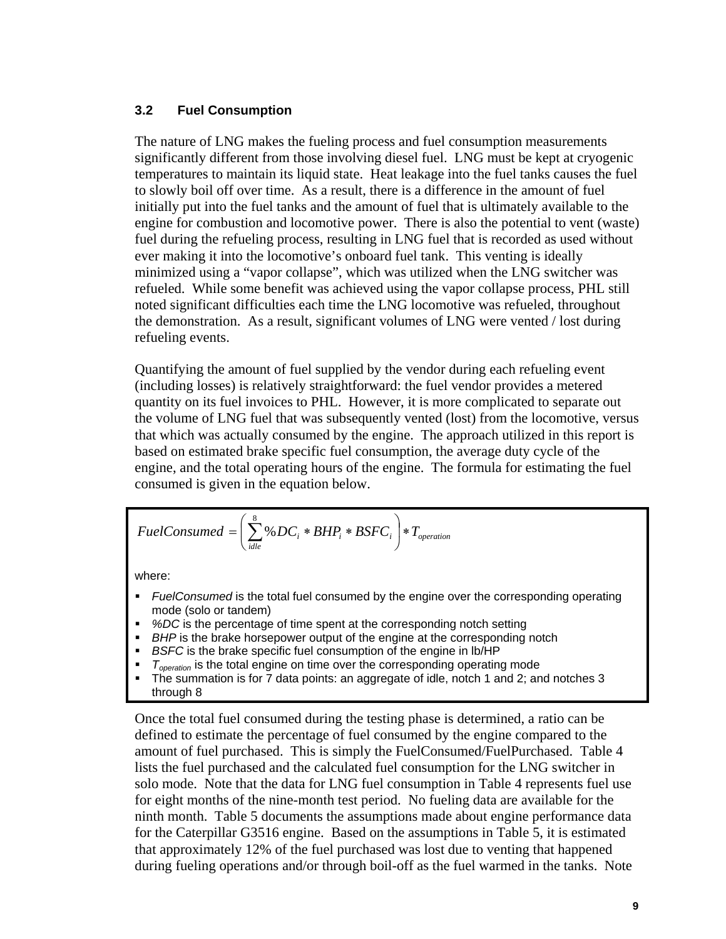#### **3.2 Fuel Consumption**

The nature of LNG makes the fueling process and fuel consumption measurements significantly different from those involving diesel fuel. LNG must be kept at cryogenic temperatures to maintain its liquid state. Heat leakage into the fuel tanks causes the fuel to slowly boil off over time. As a result, there is a difference in the amount of fuel initially put into the fuel tanks and the amount of fuel that is ultimately available to the engine for combustion and locomotive power. There is also the potential to vent (waste) fuel during the refueling process, resulting in LNG fuel that is recorded as used without ever making it into the locomotive's onboard fuel tank. This venting is ideally minimized using a "vapor collapse", which was utilized when the LNG switcher was refueled. While some benefit was achieved using the vapor collapse process, PHL still noted significant difficulties each time the LNG locomotive was refueled, throughout the demonstration. As a result, significant volumes of LNG were vented / lost during refueling events.

Quantifying the amount of fuel supplied by the vendor during each refueling event (including losses) is relatively straightforward: the fuel vendor provides a metered quantity on its fuel invoices to PHL. However, it is more complicated to separate out the volume of LNG fuel that was subsequently vented (lost) from the locomotive, versus that which was actually consumed by the engine. The approach utilized in this report is based on estimated brake specific fuel consumption, the average duty cycle of the engine, and the total operating hours of the engine. The formula for estimating the fuel consumed is given in the equation below.

$$
FuelConsumed = \left(\sum_{idle}^{8} \% DC_i * BHP_i * BSPC_i\right) * T_{operation}
$$

where:

- *FuelConsumed* is the total fuel consumed by the engine over the corresponding operating mode (solo or tandem)
- %DC is the percentage of time spent at the corresponding notch setting
- **BHP** is the brake horsepower output of the engine at the corresponding notch
- *BSFC* is the brake specific fuel consumption of the engine in lb/HP
- $T_{operation}$  is the total engine on time over the corresponding operating mode
- The summation is for 7 data points: an aggregate of idle, notch 1 and 2; and notches 3 through 8

Once the total fuel consumed during the testing phase is determined, a ratio can be defined to estimate the percentage of fuel consumed by the engine compared to the amount of fuel purchased. This is simply the FuelConsumed/FuelPurchased. Table 4 lists the fuel purchased and the calculated fuel consumption for the LNG switcher in solo mode. Note that the data for LNG fuel consumption in Table 4 represents fuel use for eight months of the nine-month test period. No fueling data are available for the ninth month. Table 5 documents the assumptions made about engine performance data for the Caterpillar G3516 engine. Based on the assumptions in Table 5, it is estimated that approximately 12% of the fuel purchased was lost due to venting that happened during fueling operations and/or through boil-off as the fuel warmed in the tanks. Note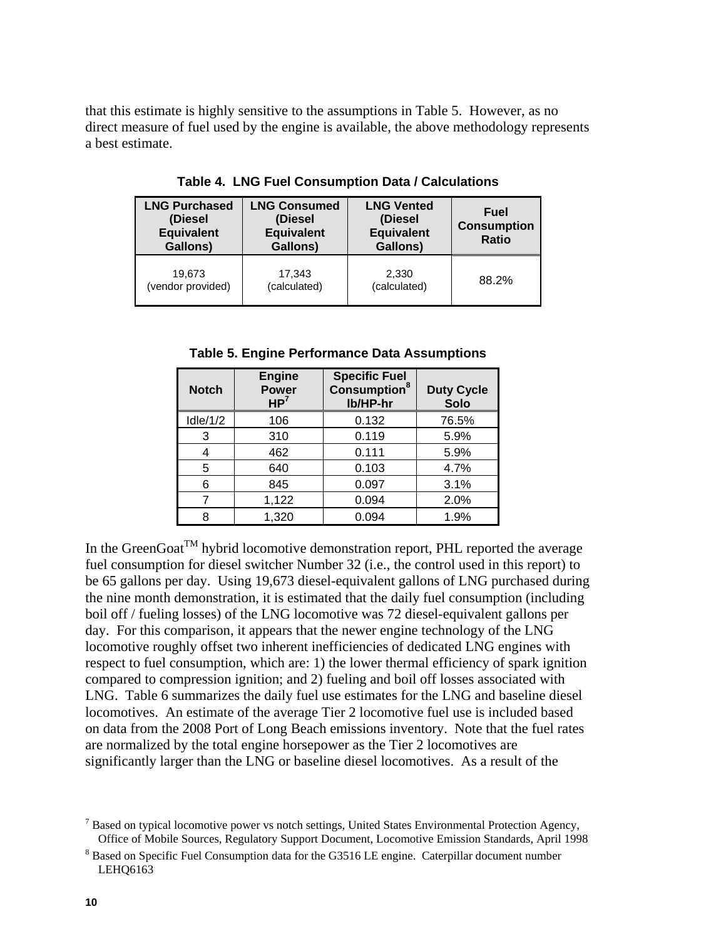that this estimate is highly sensitive to the assumptions in Table 5. However, as no direct measure of fuel used by the engine is available, the above methodology represents a best estimate.

| <b>LNG Purchased</b><br><b>LNG Consumed</b><br>(Diesel<br>(Diesel<br><b>Equivalent</b><br><b>Equivalent</b><br>Gallons)<br>Gallons) |              | <b>LNG Vented</b><br>(Diesel<br><b>Equivalent</b><br>Gallons) | Fuel<br><b>Consumption</b><br><b>Ratio</b> |
|-------------------------------------------------------------------------------------------------------------------------------------|--------------|---------------------------------------------------------------|--------------------------------------------|
| 19.673                                                                                                                              | 17,343       | 2,330                                                         | 88.2%                                      |
| (vendor provided)                                                                                                                   | (calculated) | (calculated)                                                  |                                            |

**Table 4. LNG Fuel Consumption Data / Calculations** 

**Table 5. Engine Performance Data Assumptions** 

| <b>Notch</b> | <b>Engine</b><br><b>Power</b><br>HP <sup>7</sup> | <b>Specific Fuel</b><br><b>Consumption</b> <sup>8</sup><br>lb/HP-hr | <b>Duty Cycle</b><br><b>Solo</b> |
|--------------|--------------------------------------------------|---------------------------------------------------------------------|----------------------------------|
| $I$ dle/1/2  | 106                                              | 0.132                                                               | 76.5%                            |
| 3            | 310                                              | 0.119                                                               | 5.9%                             |
| 4            | 462                                              | 0.111                                                               | 5.9%                             |
| 5            | 640                                              | 0.103                                                               | 4.7%                             |
| 6            | 845                                              | 0.097                                                               | 3.1%                             |
|              | 1,122                                            | 0.094                                                               | 2.0%                             |
| ጸ            | 1,320                                            | 0.094                                                               | 1.9%                             |

In the GreenGoat<sup>TM</sup> hybrid locomotive demonstration report, PHL reported the average fuel consumption for diesel switcher Number 32 (i.e., the control used in this report) to be 65 gallons per day. Using 19,673 diesel-equivalent gallons of LNG purchased during the nine month demonstration, it is estimated that the daily fuel consumption (including boil off / fueling losses) of the LNG locomotive was 72 diesel-equivalent gallons per day. For this comparison, it appears that the newer engine technology of the LNG locomotive roughly offset two inherent inefficiencies of dedicated LNG engines with respect to fuel consumption, which are: 1) the lower thermal efficiency of spark ignition compared to compression ignition; and 2) fueling and boil off losses associated with LNG. Table 6 summarizes the daily fuel use estimates for the LNG and baseline diesel locomotives. An estimate of the average Tier 2 locomotive fuel use is included based on data from the 2008 Port of Long Beach emissions inventory. Note that the fuel rates are normalized by the total engine horsepower as the Tier 2 locomotives are significantly larger than the LNG or baseline diesel locomotives. As a result of the

 $<sup>7</sup>$  Based on typical locomotive power vs notch settings, United States Environmental Protection Agency,</sup> Office of Mobile Sources, Regulatory Support Document, Locomotive Emission Standards, April 1998 8

 $8$  Based on Specific Fuel Consumption data for the G3516 LE engine. Caterpillar document number LEHQ6163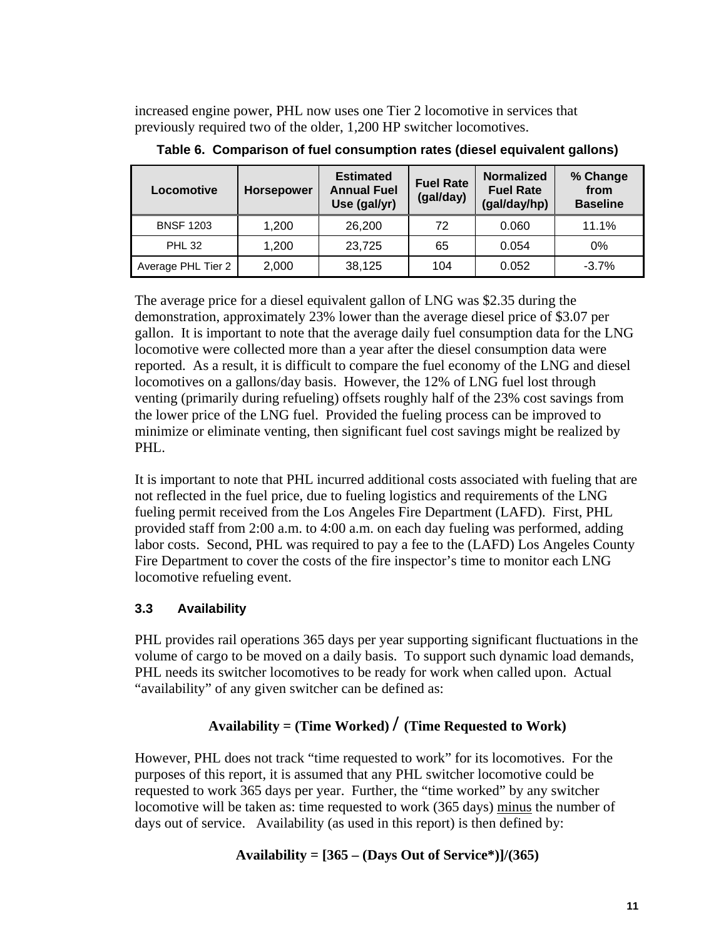increased engine power, PHL now uses one Tier 2 locomotive in services that previously required two of the older, 1,200 HP switcher locomotives.

| Locomotive         | <b>Horsepower</b> | <b>Estimated</b><br><b>Annual Fuel</b><br>Use (gal/yr) | <b>Fuel Rate</b><br>(gal/day) | <b>Normalized</b><br><b>Fuel Rate</b><br>(gal/day/hp) | % Change<br>from<br><b>Baseline</b> |
|--------------------|-------------------|--------------------------------------------------------|-------------------------------|-------------------------------------------------------|-------------------------------------|
| <b>BNSF 1203</b>   | 1.200             | 26,200                                                 | 72                            | 0.060                                                 | 11.1%                               |
| <b>PHL 32</b>      | 1,200             | 23,725                                                 | 65                            | 0.054                                                 | 0%                                  |
| Average PHL Tier 2 | 2,000             | 38,125                                                 | 104                           | 0.052                                                 | $-3.7%$                             |

**Table 6. Comparison of fuel consumption rates (diesel equivalent gallons)** 

The average price for a diesel equivalent gallon of LNG was \$2.35 during the demonstration, approximately 23% lower than the average diesel price of \$3.07 per gallon. It is important to note that the average daily fuel consumption data for the LNG locomotive were collected more than a year after the diesel consumption data were reported. As a result, it is difficult to compare the fuel economy of the LNG and diesel locomotives on a gallons/day basis. However, the 12% of LNG fuel lost through venting (primarily during refueling) offsets roughly half of the 23% cost savings from the lower price of the LNG fuel. Provided the fueling process can be improved to minimize or eliminate venting, then significant fuel cost savings might be realized by PHL.

It is important to note that PHL incurred additional costs associated with fueling that are not reflected in the fuel price, due to fueling logistics and requirements of the LNG fueling permit received from the Los Angeles Fire Department (LAFD). First, PHL provided staff from 2:00 a.m. to 4:00 a.m. on each day fueling was performed, adding labor costs. Second, PHL was required to pay a fee to the (LAFD) Los Angeles County Fire Department to cover the costs of the fire inspector's time to monitor each LNG locomotive refueling event.

## **3.3 Availability**

PHL provides rail operations 365 days per year supporting significant fluctuations in the volume of cargo to be moved on a daily basis. To support such dynamic load demands, PHL needs its switcher locomotives to be ready for work when called upon. Actual "availability" of any given switcher can be defined as:

# **Availability = (Time Worked) / (Time Requested to Work)**

However, PHL does not track "time requested to work" for its locomotives. For the purposes of this report, it is assumed that any PHL switcher locomotive could be requested to work 365 days per year. Further, the "time worked" by any switcher locomotive will be taken as: time requested to work (365 days) minus the number of days out of service. Availability (as used in this report) is then defined by:

## **Availability = [365 – (Days Out of Service\*)]/(365)**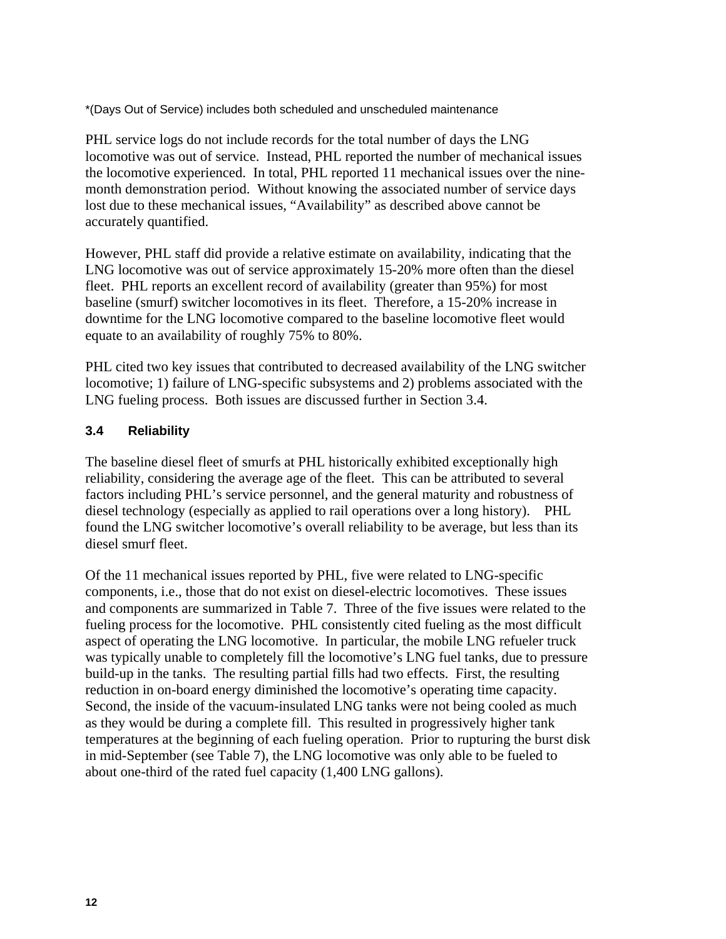\*(Days Out of Service) includes both scheduled and unscheduled maintenance

PHL service logs do not include records for the total number of days the LNG locomotive was out of service. Instead, PHL reported the number of mechanical issues the locomotive experienced. In total, PHL reported 11 mechanical issues over the ninemonth demonstration period. Without knowing the associated number of service days lost due to these mechanical issues, "Availability" as described above cannot be accurately quantified.

However, PHL staff did provide a relative estimate on availability, indicating that the LNG locomotive was out of service approximately 15-20% more often than the diesel fleet. PHL reports an excellent record of availability (greater than 95%) for most baseline (smurf) switcher locomotives in its fleet. Therefore, a 15-20% increase in downtime for the LNG locomotive compared to the baseline locomotive fleet would equate to an availability of roughly 75% to 80%.

PHL cited two key issues that contributed to decreased availability of the LNG switcher locomotive; 1) failure of LNG-specific subsystems and 2) problems associated with the LNG fueling process. Both issues are discussed further in Section 3.4.

## **3.4 Reliability**

The baseline diesel fleet of smurfs at PHL historically exhibited exceptionally high reliability, considering the average age of the fleet. This can be attributed to several factors including PHL's service personnel, and the general maturity and robustness of diesel technology (especially as applied to rail operations over a long history). PHL found the LNG switcher locomotive's overall reliability to be average, but less than its diesel smurf fleet.

Of the 11 mechanical issues reported by PHL, five were related to LNG-specific components, i.e., those that do not exist on diesel-electric locomotives. These issues and components are summarized in Table 7. Three of the five issues were related to the fueling process for the locomotive. PHL consistently cited fueling as the most difficult aspect of operating the LNG locomotive. In particular, the mobile LNG refueler truck was typically unable to completely fill the locomotive's LNG fuel tanks, due to pressure build-up in the tanks. The resulting partial fills had two effects. First, the resulting reduction in on-board energy diminished the locomotive's operating time capacity. Second, the inside of the vacuum-insulated LNG tanks were not being cooled as much as they would be during a complete fill. This resulted in progressively higher tank temperatures at the beginning of each fueling operation. Prior to rupturing the burst disk in mid-September (see Table 7), the LNG locomotive was only able to be fueled to about one-third of the rated fuel capacity (1,400 LNG gallons).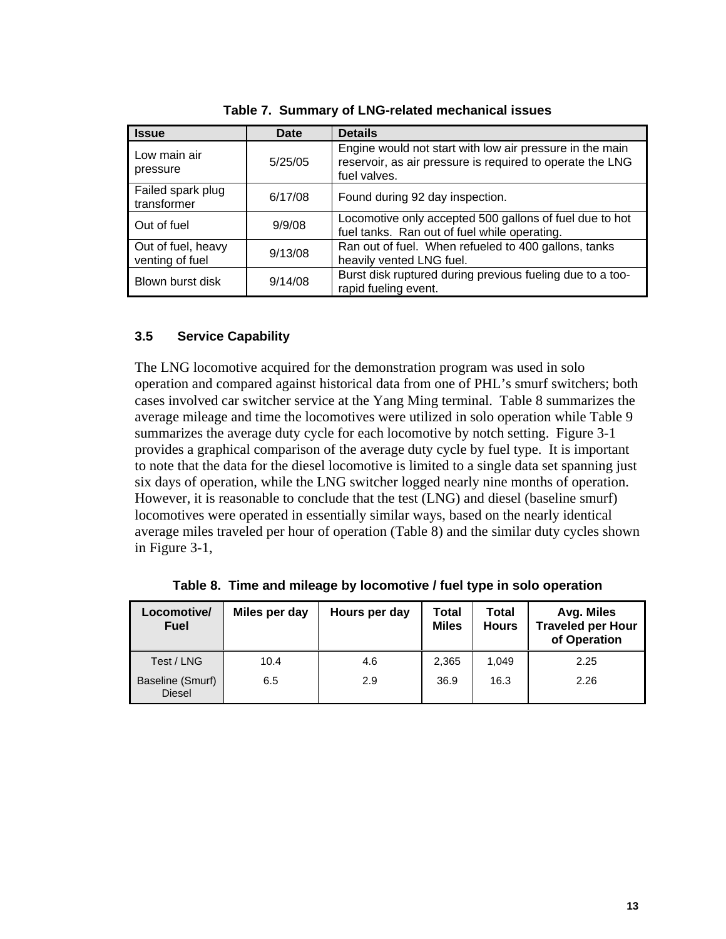| <b>Issue</b>                          | Date    | <b>Details</b>                                                                                                                        |
|---------------------------------------|---------|---------------------------------------------------------------------------------------------------------------------------------------|
| Low main air<br>pressure              | 5/25/05 | Engine would not start with low air pressure in the main<br>reservoir, as air pressure is required to operate the LNG<br>fuel valves. |
| Failed spark plug<br>transformer      | 6/17/08 | Found during 92 day inspection.                                                                                                       |
| Out of fuel                           | 9/9/08  | Locomotive only accepted 500 gallons of fuel due to hot<br>fuel tanks. Ran out of fuel while operating.                               |
| Out of fuel, heavy<br>venting of fuel | 9/13/08 | Ran out of fuel. When refueled to 400 gallons, tanks<br>heavily vented LNG fuel.                                                      |
| Blown burst disk                      | 9/14/08 | Burst disk ruptured during previous fueling due to a too-<br>rapid fueling event.                                                     |

|  |  |  | Table 7. Summary of LNG-related mechanical issues |
|--|--|--|---------------------------------------------------|
|--|--|--|---------------------------------------------------|

## **3.5 Service Capability**

The LNG locomotive acquired for the demonstration program was used in solo operation and compared against historical data from one of PHL's smurf switchers; both cases involved car switcher service at the Yang Ming terminal. Table 8 summarizes the average mileage and time the locomotives were utilized in solo operation while Table 9 summarizes the average duty cycle for each locomotive by notch setting. Figure 3-1 provides a graphical comparison of the average duty cycle by fuel type. It is important to note that the data for the diesel locomotive is limited to a single data set spanning just six days of operation, while the LNG switcher logged nearly nine months of operation. However, it is reasonable to conclude that the test (LNG) and diesel (baseline smurf) locomotives were operated in essentially similar ways, based on the nearly identical average miles traveled per hour of operation (Table 8) and the similar duty cycles shown in Figure 3-1,

| Locomotive/<br><b>Fuel</b>        | Miles per day | Hours per day | Total<br><b>Miles</b> | Total<br><b>Hours</b> | Avg. Miles<br><b>Traveled per Hour</b><br>of Operation |
|-----------------------------------|---------------|---------------|-----------------------|-----------------------|--------------------------------------------------------|
| Test / LNG                        | 10.4          | 4.6           | 2,365                 | 1.049                 | 2.25                                                   |
| Baseline (Smurf)<br><b>Diesel</b> | 6.5           | 2.9           | 36.9                  | 16.3                  | 2.26                                                   |

**Table 8. Time and mileage by locomotive / fuel type in solo operation**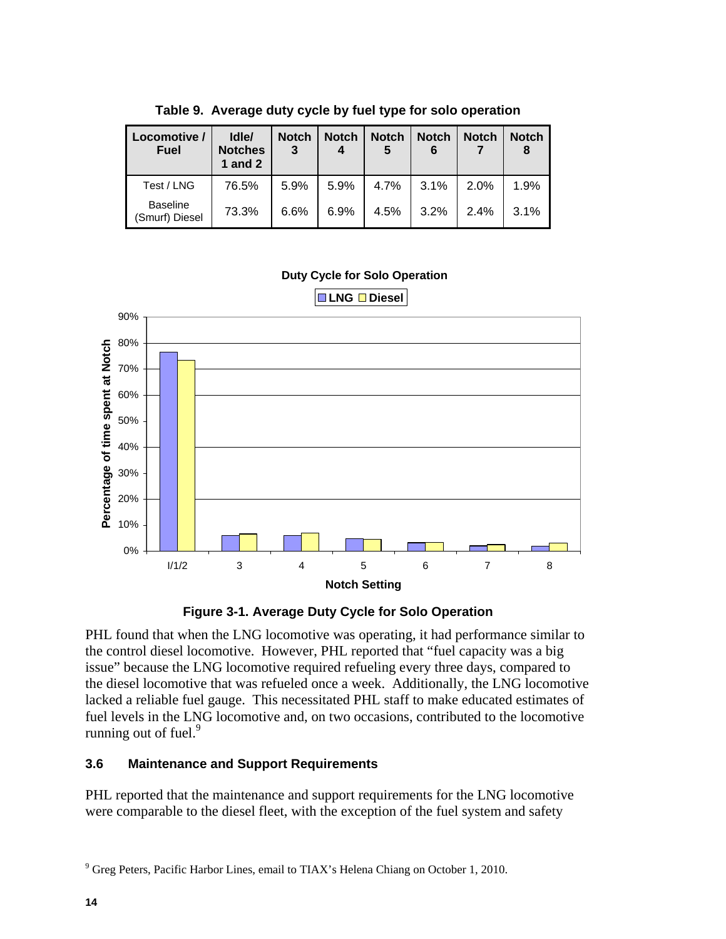| Locomotive /<br><b>Fuel</b>       | Idle/<br><b>Notches</b><br>1 and $2$ | <b>Notch</b><br>3 | <b>Notch</b> | <b>Notch</b><br>5 | <b>Notch</b> | <b>Notch</b> | <b>Notch</b><br>8 |
|-----------------------------------|--------------------------------------|-------------------|--------------|-------------------|--------------|--------------|-------------------|
| Test / LNG                        | 76.5%                                | 5.9%              | 5.9%         | 4.7%              | 3.1%         | 2.0%         | 1.9%              |
| <b>Baseline</b><br>(Smurf) Diesel | 73.3%                                | 6.6%              | 6.9%         | 4.5%              | 3.2%         | 2.4%         | 3.1%              |

**Table 9. Average duty cycle by fuel type for solo operation** 

#### **Duty Cycle for Solo Operation**





PHL found that when the LNG locomotive was operating, it had performance similar to the control diesel locomotive. However, PHL reported that "fuel capacity was a big issue" because the LNG locomotive required refueling every three days, compared to the diesel locomotive that was refueled once a week. Additionally, the LNG locomotive lacked a reliable fuel gauge. This necessitated PHL staff to make educated estimates of fuel levels in the LNG locomotive and, on two occasions, contributed to the locomotive running out of fuel. $9$ 

## **3.6 Maintenance and Support Requirements**

PHL reported that the maintenance and support requirements for the LNG locomotive were comparable to the diesel fleet, with the exception of the fuel system and safety

 $9^9$  Greg Peters, Pacific Harbor Lines, email to TIAX's Helena Chiang on October 1, 2010.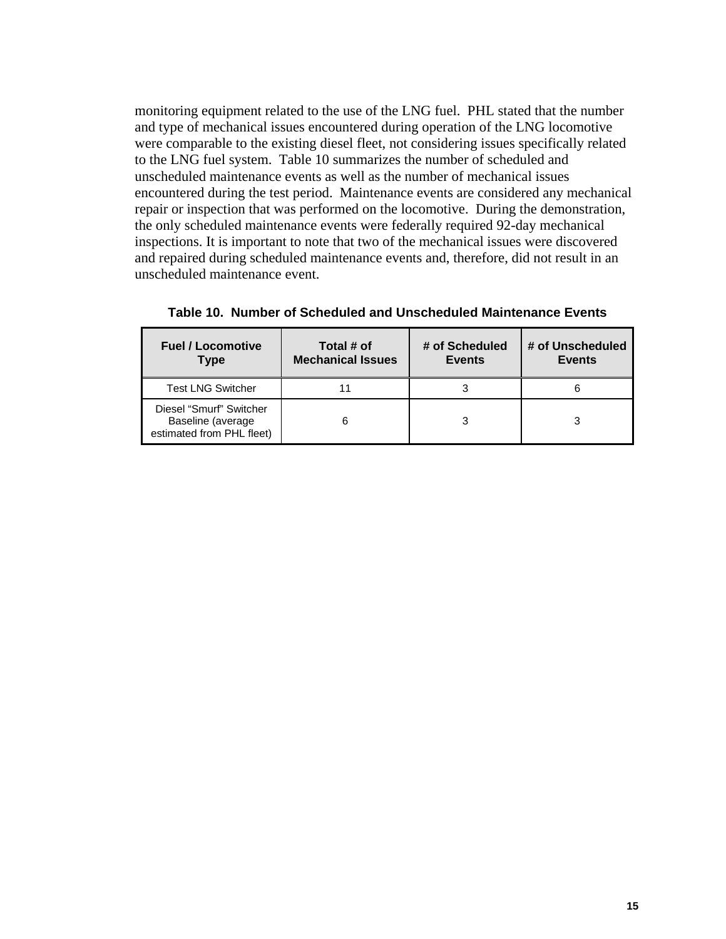monitoring equipment related to the use of the LNG fuel. PHL stated that the number and type of mechanical issues encountered during operation of the LNG locomotive were comparable to the existing diesel fleet, not considering issues specifically related to the LNG fuel system. Table 10 summarizes the number of scheduled and unscheduled maintenance events as well as the number of mechanical issues encountered during the test period. Maintenance events are considered any mechanical repair or inspection that was performed on the locomotive. During the demonstration, the only scheduled maintenance events were federally required 92-day mechanical inspections. It is important to note that two of the mechanical issues were discovered and repaired during scheduled maintenance events and, therefore, did not result in an unscheduled maintenance event.

| <b>Fuel / Locomotive</b><br><b>Type</b>                                   | Total # of<br><b>Mechanical Issues</b> | # of Scheduled<br><b>Events</b> | # of Unscheduled<br><b>Events</b> |
|---------------------------------------------------------------------------|----------------------------------------|---------------------------------|-----------------------------------|
| <b>Test LNG Switcher</b>                                                  |                                        |                                 |                                   |
| Diesel "Smurf" Switcher<br>Baseline (average<br>estimated from PHL fleet) |                                        |                                 |                                   |

**Table 10. Number of Scheduled and Unscheduled Maintenance Events**